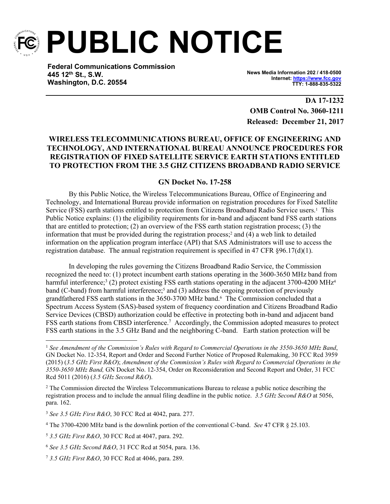

**PUBLIC NOTICE**

**Federal Communications Commission 445 12th St., S.W. Washington, D.C. 20554**

**News Media Information 202 / 418-0500 Internet: [https://www.fcc.gov](https://www.fcc.gov/) TTY: 1-888-835-5322**

**DA 17-1232 OMB Control No. 3060-1211 Released: December 21, 2017**

## **WIRELESS TELECOMMUNICATIONS BUREAU, OFFICE OF ENGINEERING AND TECHNOLOGY, AND INTERNATIONAL BUREAU ANNOUNCE PROCEDURES FOR REGISTRATION OF FIXED SATELLITE SERVICE EARTH STATIONS ENTITLED TO PROTECTION FROM THE 3.5 GHZ CITIZENS BROADBAND RADIO SERVICE**

## **GN Docket No. 17-258**

By this Public Notice, the Wireless Telecommunications Bureau, Office of Engineering and Technology, and International Bureau provide information on registration procedures for Fixed Satellite Service (FSS) earth stations entitled to protection from Citizens Broadband Radio Service users.<sup>1</sup> This Public Notice explains: (1) the eligibility requirements for in-band and adjacent band FSS earth stations that are entitled to protection; (2) an overview of the FSS earth station registration process; (3) the information that must be provided during the registration process;<sup>2</sup> and (4) a web link to detailed information on the application program interface (API) that SAS Administrators will use to access the registration database. The annual registration requirement is specified in 47 CFR §96.17(d)(1).

In developing the rules governing the Citizens Broadband Radio Service, the Commission recognized the need to: (1) protect incumbent earth stations operating in the 3600-3650 MHz band from harmful interference;<sup>3</sup> (2) protect existing FSS earth stations operating in the adjacent 3700-4200 MHz<sup>4</sup> band (C-band) from harmful interference;<sup>5</sup> and (3) address the ongoing protection of previously grandfathered FSS earth stations in the 3650-3700 MHz band.<sup>6</sup> The Commission concluded that a Spectrum Access System (SAS)-based system of frequency coordination and Citizens Broadband Radio Service Devices (CBSD) authorization could be effective in protecting both in-band and adjacent band FSS earth stations from CBSD interference.<sup>7</sup> Accordingly, the Commission adopted measures to protect FSS earth stations in the 3.5 GHz Band and the neighboring C-band. Earth station protection will be

<sup>1</sup> *See Amendment of the Commission's Rules with Regard to Commercial Operations in the 3550-3650 MHz Band*, GN Docket No. 12-354, Report and Order and Second Further Notice of Proposed Rulemaking, 30 FCC Rcd 3959 (2015) (*3.5 GHz First R&O*); *Amendment of the Commission's Rules with Regard to Commercial Operations in the 3550-3650 MHz Band,* GN Docket No. 12-354, Order on Reconsideration and Second Report and Order, 31 FCC Rcd 5011 (2016) (*3.5 GHz Second R&O*).

<sup>&</sup>lt;sup>2</sup> The Commission directed the Wireless Telecommunications Bureau to release a public notice describing the registration process and to include the annual filing deadline in the public notice. *3.5 GHz Second R&O* at 5056, para. 162.

<sup>3</sup> *See 3.5 GHz First R&O*, 30 FCC Rcd at 4042, para. 277.

<sup>4</sup> The 3700-4200 MHz band is the downlink portion of the conventional C-band. *See* 47 CFR § 25.103.

<sup>5</sup> *3.5 GHz First R&O*, 30 FCC Rcd at 4047, para. 292.

<sup>6</sup> *See 3.5 GHz Second R&O*, 31 FCC Rcd at 5054, para. 136.

<sup>7</sup> *3.5 GHz First R&O*, 30 FCC Rcd at 4046, para. 289.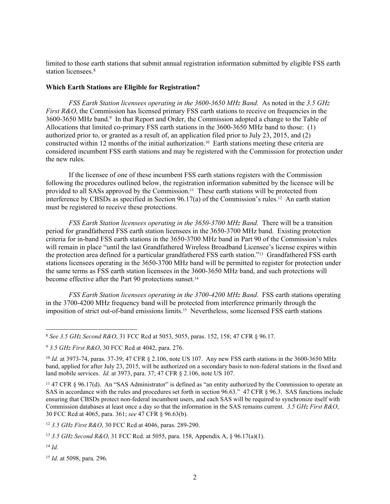limited to those earth stations that submit annual registration information submitted by eligible FSS earth station licensees.<sup>8</sup>

## **Which Earth Stations are Eligible for Registration?**

*FSS Earth Station licensees operating in the 3600-3650 MHz Band.* As noted in the *3.5 GHz First R&O*, the Commission has licensed primary FSS earth stations to receive on frequencies in the 3600-3650 MHz band.<sup>9</sup> In that Report and Order, the Commission adopted a change to the Table of Allocations that limited co-primary FSS earth stations in the 3600-3650 MHz band to those: (1) authorized prior to, or granted as a result of, an application filed prior to July 23, 2015, and (2) constructed within 12 months of the initial authorization.10 Earth stations meeting these criteria are considered incumbent FSS earth stations and may be registered with the Commission for protection under the new rules.

If the licensee of one of these incumbent FSS earth stations registers with the Commission following the procedures outlined below, the registration information submitted by the licensee will be provided to all SASs approved by the Commission.11 These earth stations will be protected from interference by CBSDs as specified in Section 96.17(a) of the Commission's rules.12 An earth station must be registered to receive these protections.

*FSS Earth Station licensees operating in the 3650-3700 MHz Band.* There will be a transition period for grandfathered FSS earth station licensees in the 3650-3700 MHz band. Existing protection criteria for in-band FSS earth stations in the 3650-3700 MHz band in Part 90 of the Commission's rules will remain in place "until the last Grandfathered Wireless Broadband Licensee's license expires within the protection area defined for a particular grandfathered FSS earth station."13 Grandfathered FSS earth stations licensees operating in the 3650-3700 MHz band will be permitted to register for protection under the same terms as FSS earth station licensees in the 3600-3650 MHz band, and such protections will become effective after the Part 90 protections sunset.<sup>14</sup>

*FSS Earth Station licensees operating in the 3700-4200 MHz Band*. FSS earth stations operating in the 3700-4200 MHz frequency band will be protected from interference primarily through the imposition of strict out-of-band emissions limits.15 Nevertheless, some licensed FSS earth stations

<sup>12</sup> *3.5 GHz First R&O*, 30 FCC Rcd at 4046, paras. 289-290.

<sup>14</sup> *Id.*

<sup>15</sup> *Id.* at 5098, para. 296.

<sup>8</sup> *See 3.5 GHz Second R&O*, 31 FCC Rcd at 5053, 5055, paras. 152, 158; 47 CFR § 96.17.

<sup>9</sup> *3.5 GHz First R&O*, 30 FCC Rcd at 4042, para. 276.

<sup>&</sup>lt;sup>10</sup> *Id.* at 3973-74, paras. 37-39; 47 CFR § 2.106, note US 107. Any new FSS earth stations in the 3600-3650 MHz band, applied for after July 23, 2015, will be authorized on a secondary basis to non-federal stations in the fixed and land mobile services. *Id.* at 3973, para. 37; 47 CFR § 2.106, note US 107.

<sup>11</sup> 47 CFR § 96.17(d). An "SAS Administrator" is defined as "an entity authorized by the Commission to operate an SAS in accordance with the rules and procedures set forth in section 96.63." 47 CFR § 96.3. SAS functions include ensuring that CBSDs protect non-federal incumbent users, and each SAS will be required to synchronize itself with Commission databases at least once a day so that the information in the SAS remains current. *3.5 GHz First R&O*, 30 FCC Rcd at 4065, para. 361; *see* 47 CFR § 96.63(b).

<sup>13</sup> *3.5 GHz Second R&O*, 31 FCC Rcd. at 5055, para. 158, Appendix A, § 96.17(a)(1).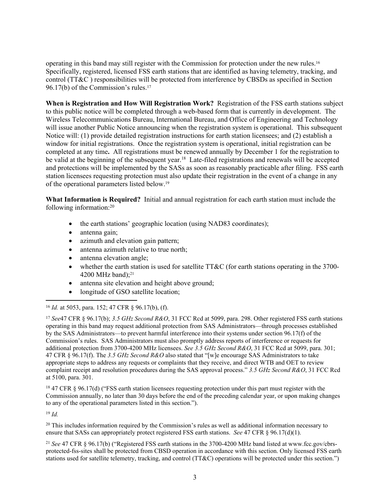operating in this band may still register with the Commission for protection under the new rules.<sup>16</sup> Specifically, registered, licensed FSS earth stations that are identified as having telemetry, tracking, and control (TT&C ) responsibilities will be protected from interference by CBSDs as specified in Section 96.17(b) of the Commission's rules.<sup>17</sup>

**When is Registration and How Will Registration Work?** Registration of the FSS earth stations subject to this public notice will be completed through a web-based form that is currently in development. The Wireless Telecommunications Bureau, International Bureau, and Office of Engineering and Technology will issue another Public Notice announcing when the registration system is operational. This subsequent Notice will: (1) provide detailed registration instructions for earth station licensees; and (2) establish a window for initial registrations. Once the registration system is operational, initial registration can be completed at any time**.** All registrations must be renewed annually by December 1 for the registration to be valid at the beginning of the subsequent year.<sup>18</sup> Late-filed registrations and renewals will be accepted and protections will be implemented by the SASs as soon as reasonably practicable after filing. FSS earth station licensees requesting protection must also update their registration in the event of a change in any of the operational parameters listed below.<sup>19</sup>

**What Information is Required?** Initial and annual registration for each earth station must include the following information:<sup>20</sup>

- the earth stations' geographic location (using NAD83 coordinates);
- antenna gain;
- azimuth and elevation gain pattern;
- antenna azimuth relative to true north;
- antenna elevation angle;
- whether the earth station is used for satellite TT&C (for earth stations operating in the  $3700-$ 4200 MHz band); $^{21}$
- antenna site elevation and height above ground;
- longitude of GSO satellite location;

<sup>18</sup> 47 CFR § 96.17(d) ("FSS earth station licensees requesting protection under this part must register with the Commission annually, no later than 30 days before the end of the preceding calendar year, or upon making changes to any of the operational parameters listed in this section.").

<sup>19</sup> *Id.*

<sup>20</sup> This includes information required by the Commission's rules as well as additional information necessary to ensure that SASs can appropriately protect registered FSS earth stations. *See* 47 CFR § 96.17(d)(1).

<sup>21</sup> *See* 47 CFR § 96.17(b) ("Registered FSS earth stations in the 3700-4200 MHz band listed at www.fcc.gov/cbrsprotected-fss-sites shall be protected from CBSD operation in accordance with this section. Only licensed FSS earth stations used for satellite telemetry, tracking, and control (TT&C) operations will be protected under this section.")

<sup>16</sup> *Id.* at 5053, para. 152; 47 CFR § 96.17(b), (f).

<sup>17</sup> *See*47 CFR § 96.17(b); *3.5 GHz Second R&O*, 31 FCC Rcd at 5099, para. 298. Other registered FSS earth stations operating in this band may request additional protection from SAS Administrators—through processes established by the SAS Administrators—to prevent harmful interference into their systems under section 96.17(f) of the Commission's rules. SAS Administrators must also promptly address reports of interference or requests for additional protection from 3700-4200 MHz licensees. *See 3.5 GHz Second R&O*, 31 FCC Rcd at 5099, para. 301; 47 CFR § 96.17(f). The *3.5 GHz Second R&O* also stated that "[w]e encourage SAS Administrators to take appropriate steps to address any requests or complaints that they receive, and direct WTB and OET to review complaint receipt and resolution procedures during the SAS approval process." *3.5 GHz Second R&O*, 31 FCC Rcd at 5100, para. 301.